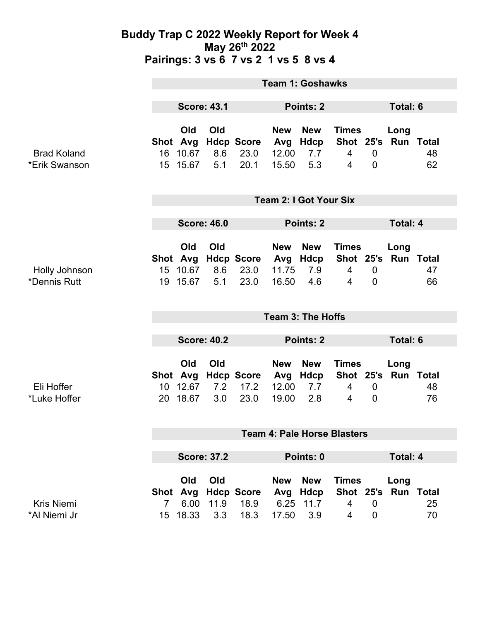### **Buddy Trap C 2022 Weekly Report for Week 4 May 26th 2022 Pairings: 3 vs 6 7 vs 2 1 vs 5 8 vs 4**

|                                     | <b>Team 1: Goshawks</b>            |                                         |                    |                                   |                                         |                                      |                                                            |                               |                          |          |
|-------------------------------------|------------------------------------|-----------------------------------------|--------------------|-----------------------------------|-----------------------------------------|--------------------------------------|------------------------------------------------------------|-------------------------------|--------------------------|----------|
|                                     | <b>Score: 43.1</b>                 |                                         |                    | Points: 2                         |                                         |                                      |                                                            | Total: 6                      |                          |          |
| <b>Brad Koland</b><br>*Erik Swanson |                                    | Old<br>Shot Avg<br>16 10.67<br>15 15.67 | Old<br>8.6<br>5.1  | <b>Hdcp Score</b><br>23.0<br>20.1 | <b>New</b><br>Avg<br>12.00<br>15.50     | <b>New</b><br>Hdcp<br>7.7<br>5.3     | <b>Times</b><br>Shot 25's Run Total<br>4<br>$\overline{4}$ | $\mathbf 0$<br>$\overline{0}$ | Long                     | 48<br>62 |
|                                     | <b>Team 2: I Got Your Six</b>      |                                         |                    |                                   |                                         |                                      |                                                            |                               |                          |          |
|                                     | <b>Score: 46.0</b>                 |                                         |                    |                                   | Points: 2                               |                                      |                                                            |                               | <b>Total: 4</b>          |          |
| Holly Johnson<br>*Dennis Rutt       |                                    | Old<br>Shot Avg<br>15 10.67<br>19 15.67 | Old<br>8.6<br>5.1  | <b>Hdcp Score</b><br>23.0<br>23.0 | <b>New</b><br>11.75<br>16.50            | <b>New</b><br>Avg Hdcp<br>7.9<br>4.6 | <b>Times</b><br>Shot 25's<br>$\overline{4}$<br>4           | $\mathbf 0$<br>$\overline{0}$ | Long<br><b>Run Total</b> | 47<br>66 |
|                                     | <b>Team 3: The Hoffs</b>           |                                         |                    |                                   |                                         |                                      |                                                            |                               |                          |          |
|                                     | <b>Score: 40.2</b>                 |                                         |                    | Points: 2                         |                                         |                                      |                                                            | <b>Total: 6</b>               |                          |          |
| Eli Hoffer<br>*Luke Hoffer          | 20                                 | Old<br>Shot Avg<br>10 12.67<br>18.67    | Old<br>7.2<br>3.0  | <b>Hdcp Score</b><br>17.2<br>23.0 | <b>New</b><br>Avg<br>12.00<br>19.00     | <b>New</b><br>Hdcp<br>7.7<br>2.8     | <b>Times</b><br>Shot 25's Run Total<br>4<br>4              | $\overline{0}$<br>0           | Long                     | 48<br>76 |
|                                     | <b>Team 4: Pale Horse Blasters</b> |                                         |                    |                                   |                                         |                                      |                                                            |                               |                          |          |
|                                     | <b>Score: 37.2</b>                 |                                         |                    |                                   | Points: 0                               |                                      |                                                            |                               | <b>Total: 4</b>          |          |
| <b>Kris Niemi</b><br>*Al Niemi Jr   | Shot<br>$7^{\circ}$                | Old<br>6.00<br>15 18.33                 | Old<br>11.9<br>3.3 | Avg Hdcp Score<br>18.9<br>18.3    | <b>New</b><br>Avg<br>6.25 11.7<br>17.50 | <b>New</b><br>Hdcp<br>3.9            | <b>Times</b><br>Shot 25's<br>4<br>4                        | $\overline{0}$<br>$\mathbf 0$ | Long<br><b>Run Total</b> | 25<br>70 |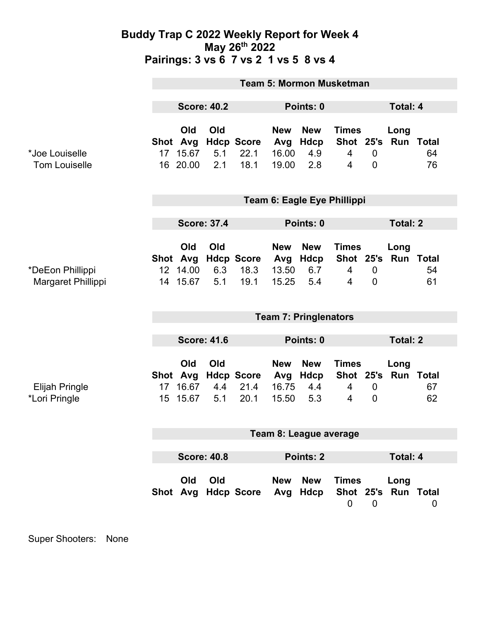### **Buddy Trap C 2022 Weekly Report for Week 4 May 26th 2022 Pairings: 3 vs 6 7 vs 2 1 vs 5 8 vs 4**

|                                        | <b>Team 5: Mormon Musketman</b>     |                                         |                   |                                   |                                     |                                      |                                                  |                                  |                             |          |  |
|----------------------------------------|-------------------------------------|-----------------------------------------|-------------------|-----------------------------------|-------------------------------------|--------------------------------------|--------------------------------------------------|----------------------------------|-----------------------------|----------|--|
|                                        | <b>Score: 40.2</b>                  |                                         |                   | Points: 0                         |                                     |                                      |                                                  | <b>Total: 4</b>                  |                             |          |  |
| *Joe Louiselle<br><b>Tom Louiselle</b> | 17 <sup>17</sup>                    | Old<br>Shot Avg<br>15.67<br>16 20.00    | Old<br>5.1<br>2.1 | <b>Hdcp Score</b><br>22.1<br>18.1 | <b>New</b><br>Avg<br>16.00<br>19.00 | <b>New</b><br>Hdcp<br>4.9<br>2.8     | <b>Times</b><br>$\overline{4}$<br>$\overline{4}$ | $\overline{0}$<br>$\overline{0}$ | Long<br>Shot 25's Run Total | 64<br>76 |  |
|                                        | Team 6: Eagle Eye Phillippi         |                                         |                   |                                   |                                     |                                      |                                                  |                                  |                             |          |  |
|                                        | <b>Score: 37.4</b>                  |                                         |                   |                                   | Points: 0                           |                                      |                                                  | <b>Total: 2</b>                  |                             |          |  |
| *DeEon Phillippi<br>Margaret Phillippi |                                     | Old<br>Shot Avg<br>12 14.00<br>14 15.67 | Old<br>6.3<br>5.1 | <b>Hdcp Score</b><br>18.3<br>19.1 | <b>New</b><br>13.50<br>15.25        | <b>New</b><br>Avg Hdcp<br>6.7<br>5.4 | <b>Times</b><br>$\overline{4}$<br>$\overline{4}$ | $\mathbf 0$<br>$\overline{0}$    | Long<br>Shot 25's Run Total | 54<br>61 |  |
|                                        | <b>Team 7: Pringlenators</b>        |                                         |                   |                                   |                                     |                                      |                                                  |                                  |                             |          |  |
|                                        | <b>Score: 41.6</b>                  |                                         |                   | Points: 0                         |                                     |                                      | <b>Total: 2</b>                                  |                                  |                             |          |  |
| Elijah Pringle<br>*Lori Pringle        | 17 <sup>1</sup><br>15 <sup>15</sup> | Old<br>Shot Avg<br>16.67<br>15.67       | Old<br>4.4<br>5.1 | <b>Hdcp Score</b><br>21.4<br>20.1 | <b>New</b><br>Avg<br>16.75<br>15.50 | <b>New</b><br>Hdcp<br>4.4<br>5.3     | <b>Times</b><br>4<br>4                           | $\boldsymbol{0}$<br>$\mathbf 0$  | Long<br>Shot 25's Run Total | 67<br>62 |  |
|                                        | Team 8: League average              |                                         |                   |                                   |                                     |                                      |                                                  |                                  |                             |          |  |
|                                        |                                     |                                         |                   |                                   |                                     |                                      |                                                  |                                  |                             |          |  |
|                                        | <b>Score: 40.8</b>                  |                                         |                   |                                   | <b>Points: 2</b>                    |                                      |                                                  |                                  | Total: 4                    |          |  |
|                                        |                                     | Old                                     | Old               | Shot Avg Hdcp Score               | <b>New</b>                          | <b>New</b><br>Avg Hdcp               | <b>Times</b><br>$\mathbf 0$                      | $\overline{0}$                   | Long<br>Shot 25's Run Total | 0        |  |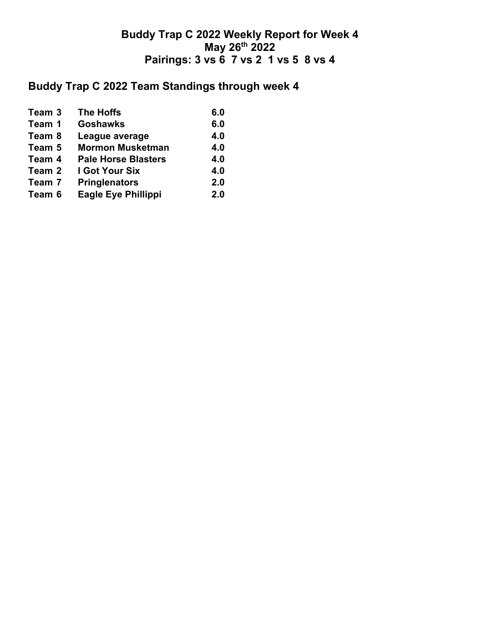## **Buddy Trap C 2022 Weekly Report for Week 4 May 26th 2022 Pairings: 3 vs 6 7 vs 2 1 vs 5 8 vs 4**

# **Buddy Trap C 2022 Team Standings through week 4**

| Team 3 | <b>The Hoffs</b>           | 6.0 |
|--------|----------------------------|-----|
| Team 1 | <b>Goshawks</b>            | 6.0 |
| Team 8 | League average             | 4.0 |
| Team 5 | <b>Mormon Musketman</b>    | 4.0 |
| Team 4 | <b>Pale Horse Blasters</b> | 4.0 |
| Team 2 | I Got Your Six             | 4.0 |
| Team 7 | <b>Pringlenators</b>       | 2.0 |
| Team 6 | <b>Eagle Eye Phillippi</b> | 2.0 |
|        |                            |     |